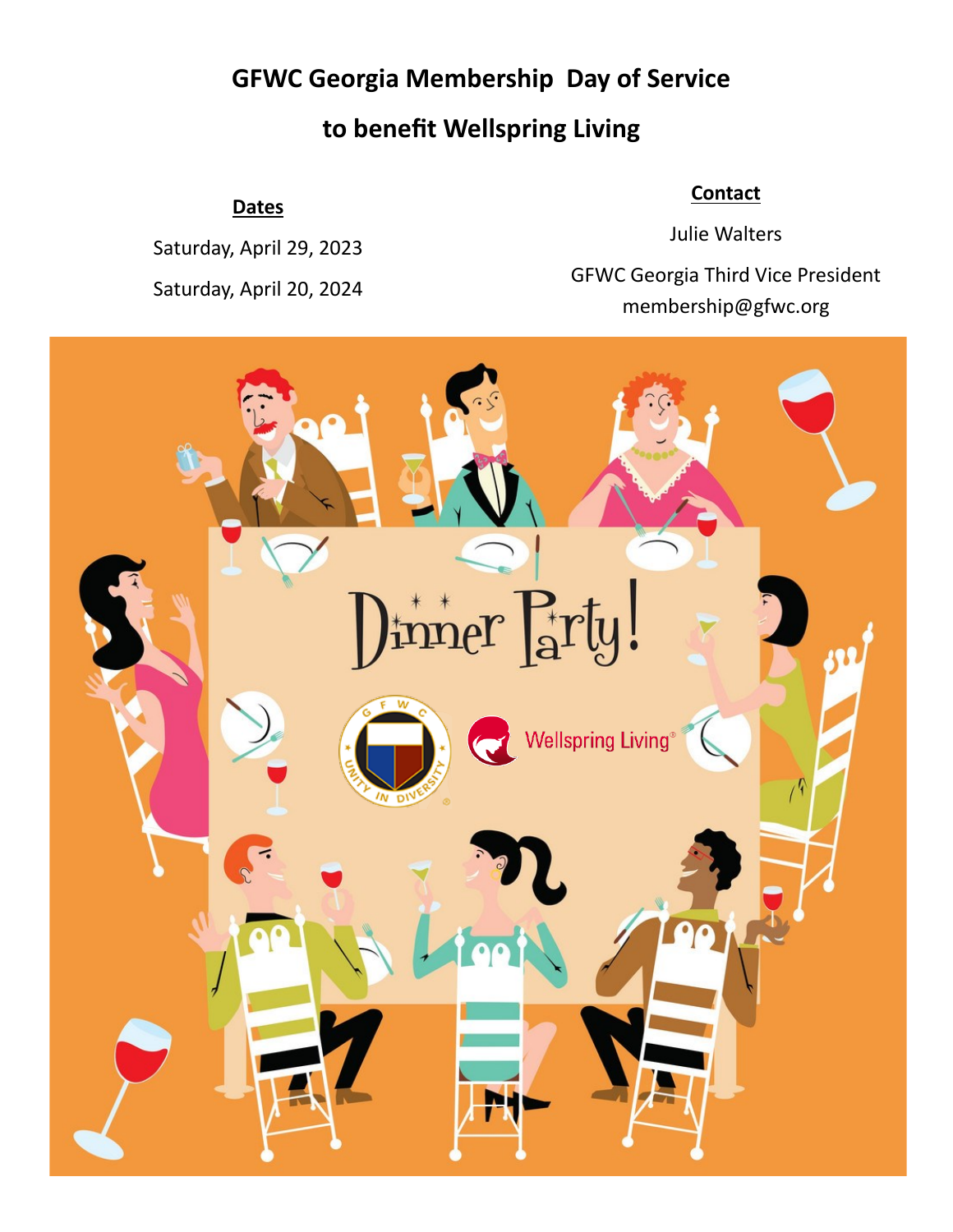# **GFWC Georgia Membership Day of Service to benefit Wellspring Living**

#### **Dates**

Saturday, April 29, 2023 Saturday, April 20, 2024

#### **Contact**

Julie Walters GFWC Georgia Third Vice President membership@gfwc.org

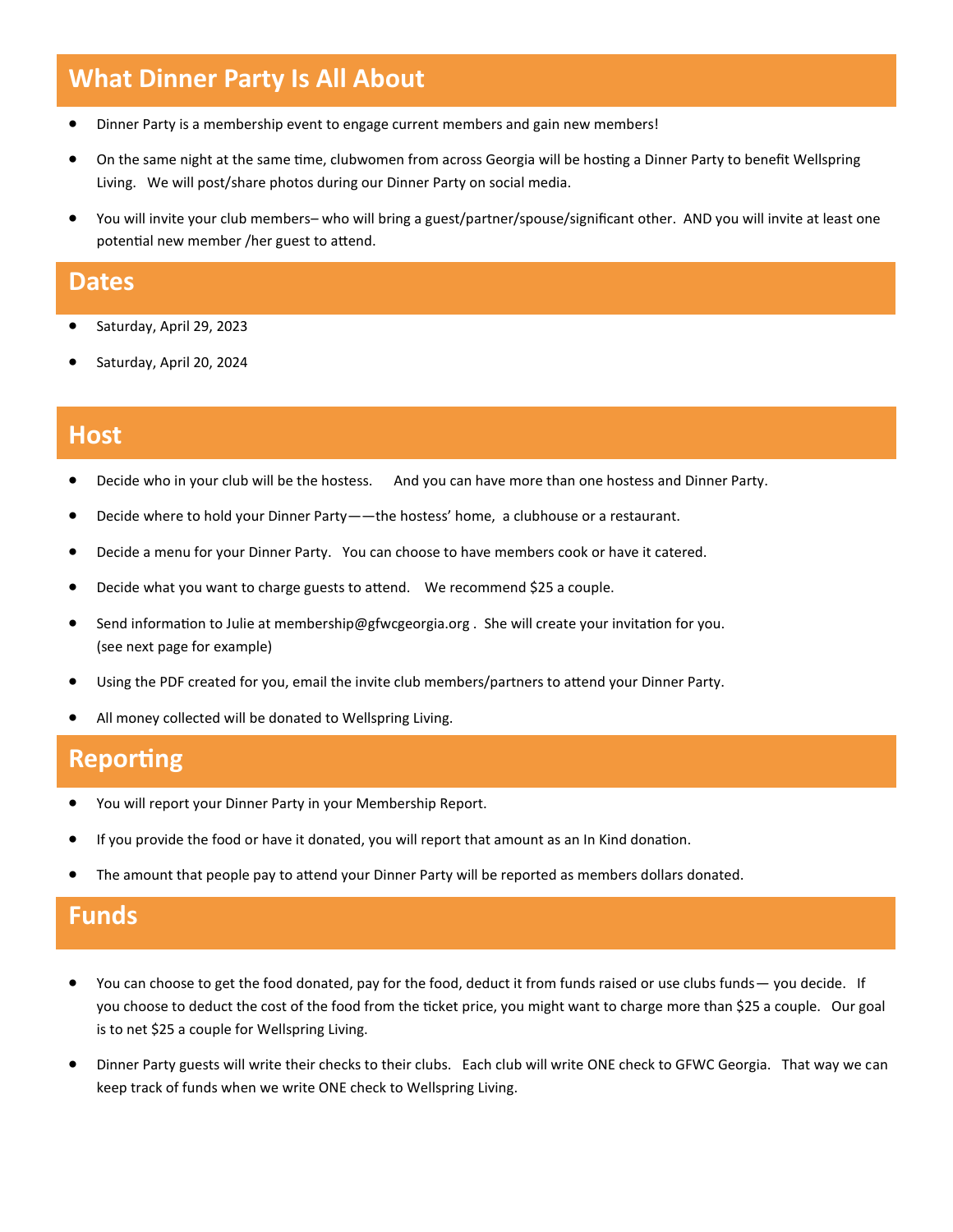## **What Dinner Party Is All About**

- Dinner Party is a membership event to engage current members and gain new members!
- On the same night at the same time, clubwomen from across Georgia will be hosting a Dinner Party to benefit Wellspring Living. We will post/share photos during our Dinner Party on social media.
- You will invite your club members– who will bring a guest/partner/spouse/significant other. AND you will invite at least one potential new member /her guest to attend.

#### **Dates**

- Saturday, April 29, 2023
- Saturday, April 20, 2024

### **Host**

- Decide who in your club will be the hostess. And you can have more than one hostess and Dinner Party.
- Decide where to hold your Dinner Party——the hostess' home, a clubhouse or a restaurant.
- Decide a menu for your Dinner Party. You can choose to have members cook or have it catered.
- Decide what you want to charge guests to attend. We recommend \$25 a couple.
- Send information to Julie at membership@gfwcgeorgia.org . She will create your invitation for you. (see next page for example)
- Using the PDF created for you, email the invite club members/partners to attend your Dinner Party.
- All money collected will be donated to Wellspring Living.

#### **Reporting**

- You will report your Dinner Party in your Membership Report.
- If you provide the food or have it donated, you will report that amount as an In Kind donation.
- The amount that people pay to attend your Dinner Party will be reported as members dollars donated.

#### **Funds**

- You can choose to get the food donated, pay for the food, deduct it from funds raised or use clubs funds— you decide. If you choose to deduct the cost of the food from the ticket price, you might want to charge more than \$25 a couple. Our goal is to net \$25 a couple for Wellspring Living.
- Dinner Party guests will write their checks to their clubs. Each club will write ONE check to GFWC Georgia. That way we can keep track of funds when we write ONE check to Wellspring Living.